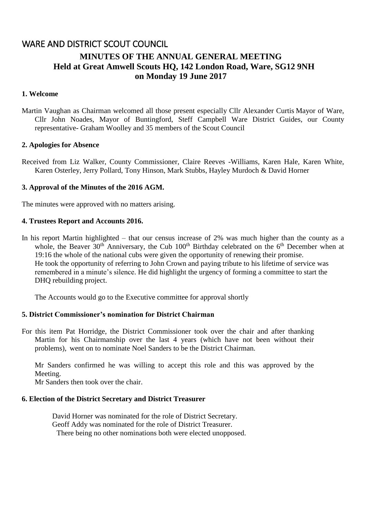# WARE AND DISTRICT SCOUT COUNCIL **MINUTES OF THE ANNUAL GENERAL MEETING Held at Great Amwell Scouts HQ, 142 London Road, Ware, SG12 9NH on Monday 19 June 2017**

## **1. Welcome**

Martin Vaughan as Chairman welcomed all those present especially Cllr Alexander Curtis Mayor of Ware, Cllr John Noades, Mayor of Buntingford, Steff Campbell Ware District Guides, our County representative- Graham Woolley and 35 members of the Scout Council

#### **2. Apologies for Absence**

Received from Liz Walker, County Commissioner, Claire Reeves -Williams, Karen Hale, Karen White, Karen Osterley, Jerry Pollard, Tony Hinson, Mark Stubbs, Hayley Murdoch & David Horner

#### **3. Approval of the Minutes of the 2016 AGM.**

The minutes were approved with no matters arising.

#### **4. Trustees Report and Accounts 2016.**

In his report Martin highlighted – that our census increase of 2% was much higher than the county as a whole, the Beaver  $30<sup>th</sup>$  Anniversary, the Cub  $100<sup>th</sup>$  Birthday celebrated on the  $6<sup>th</sup>$  December when at 19:16 the whole of the national cubs were given the opportunity of renewing their promise. He took the opportunity of referring to John Crown and paying tribute to his lifetime of service was remembered in a minute's silence. He did highlight the urgency of forming a committee to start the DHQ rebuilding project.

The Accounts would go to the Executive committee for approval shortly

## **5. District Commissioner's nomination for District Chairman**

For this item Pat Horridge, the District Commissioner took over the chair and after thanking Martin for his Chairmanship over the last 4 years (which have not been without their problems), went on to nominate Noel Sanders to be the District Chairman.

Mr Sanders confirmed he was willing to accept this role and this was approved by the Meeting.

Mr Sanders then took over the chair.

# **6. Election of the District Secretary and District Treasurer**

David Horner was nominated for the role of District Secretary. Geoff Addy was nominated for the role of District Treasurer. There being no other nominations both were elected unopposed.